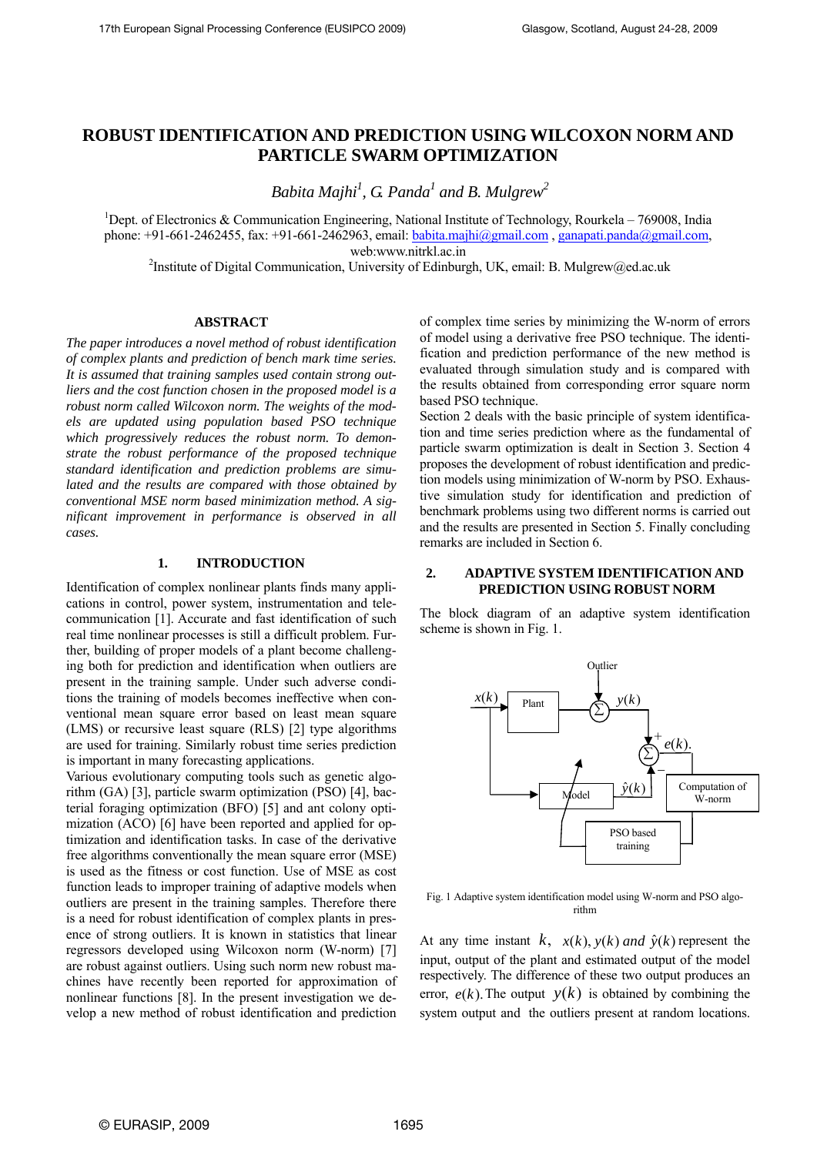# **ROBUST IDENTIFICATION AND PREDICTION USING WILCOXON NORM AND PARTICLE SWARM OPTIMIZATION**

*Babita Majhi<sup>1</sup>*, *G. Panda<sup>1</sup> and B. Mulgrew*<sup>2</sup>

<sup>1</sup>Dept. of Electronics & Communication Engineering, National Institute of Technology, Rourkela – 769008, India phone: +91-661-2462455, fax: +91-661-2462963, email: babita.majhi@gmail.com, [ganapati.panda@gmail.com,](mailto:ganapati.panda@gmail.com)

web:www.nitrkl.ac.in<br><sup>2</sup>Institute of Digital Communication, University of Edinburgh, UK, email: B. Mulgrew@ed.ac.uk

# **ABSTRACT**

*The paper introduces a novel method of robust identification of complex plants and prediction of bench mark time series. It is assumed that training samples used contain strong outliers and the cost function chosen in the proposed model is a robust norm called Wilcoxon norm. The weights of the models are updated using population based PSO technique which progressively reduces the robust norm. To demonstrate the robust performance of the proposed technique standard identification and prediction problems are simulated and the results are compared with those obtained by conventional MSE norm based minimization method. A significant improvement in performance is observed in all cases.* 

## **1. INTRODUCTION**

Identification of complex nonlinear plants finds many applications in control, power system, instrumentation and telecommunication [1]. Accurate and fast identification of such real time nonlinear processes is still a difficult problem. Further, building of proper models of a plant become challenging both for prediction and identification when outliers are present in the training sample. Under such adverse conditions the training of models becomes ineffective when conventional mean square error based on least mean square (LMS) or recursive least square (RLS) [2] type algorithms are used for training. Similarly robust time series prediction is important in many forecasting applications.

Various evolutionary computing tools such as genetic algorithm (GA) [3], particle swarm optimization (PSO) [4], bacterial foraging optimization (BFO) [5] and ant colony optimization (ACO) [6] have been reported and applied for optimization and identification tasks. In case of the derivative free algorithms conventionally the mean square error (MSE) is used as the fitness or cost function. Use of MSE as cost function leads to improper training of adaptive models when outliers are present in the training samples. Therefore there is a need for robust identification of complex plants in presence of strong outliers. It is known in statistics that linear regressors developed using Wilcoxon norm (W-norm) [7] are robust against outliers. Using such norm new robust machines have recently been reported for approximation of nonlinear functions [8]. In the present investigation we develop a new method of robust identification and prediction

of complex time series by minimizing the W-norm of errors of model using a derivative free PSO technique. The identification and prediction performance of the new method is evaluated through simulation study and is compared with the results obtained from corresponding error square norm based PSO technique.

Section 2 deals with the basic principle of system identification and time series prediction where as the fundamental of particle swarm optimization is dealt in Section 3. Section 4 proposes the development of robust identification and prediction models using minimization of W-norm by PSO. Exhaustive simulation study for identification and prediction of benchmark problems using two different norms is carried out and the results are presented in Section 5. Finally concluding remarks are included in Section 6.

### **2. ADAPTIVE SYSTEM IDENTIFICATION AND PREDICTION USING ROBUST NORM**

The block diagram of an adaptive system identification scheme is shown in Fig. 1.



Fig. 1 Adaptive system identification model using W-norm and PSO algorithm

At any time instant  $k$ ,  $x(k)$ ,  $y(k)$  and  $\hat{y}(k)$  represent the input, output of the plant and estimated output of the model respectively. The difference of these two output produces an error,  $e(k)$ . The output  $y(k)$  is obtained by combining the system output and the outliers present at random locations.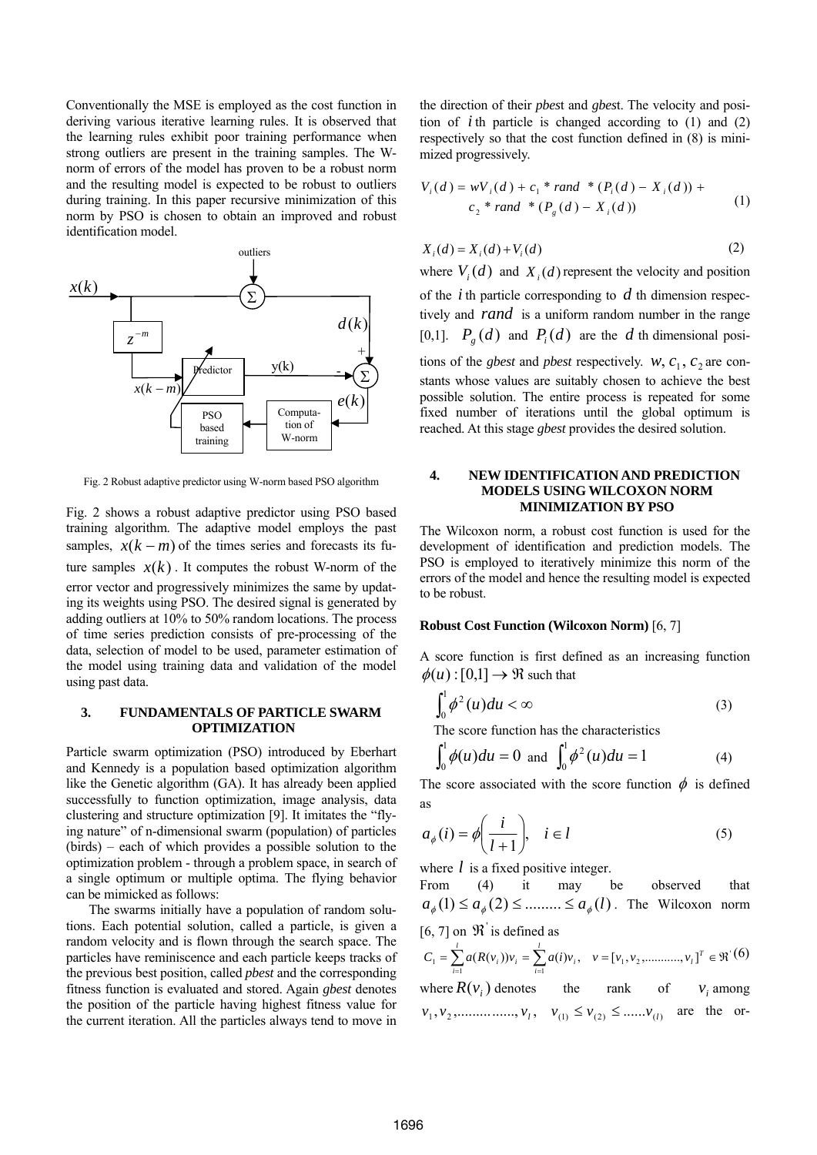Conventionally the MSE is employed as the cost function in deriving various iterative learning rules. It is observed that the learning rules exhibit poor training performance when strong outliers are present in the training samples. The Wnorm of errors of the model has proven to be a robust norm and the resulting model is expected to be robust to outliers during training. In this paper recursive minimization of this norm by PSO is chosen to obtain an improved and robust identification model.



Fig. 2 Robust adaptive predictor using W-norm based PSO algorithm

Fig. 2 shows a robust adaptive predictor using PSO based training algorithm. The adaptive model employs the past samples,  $x(k - m)$  of the times series and forecasts its future samples  $x(k)$ . It computes the robust W-norm of the error vector and progressively minimizes the same by updating its weights using PSO. The desired signal is generated by adding outliers at 10% to 50% random locations. The process of time series prediction consists of pre-processing of the data, selection of model to be used, parameter estimation of the model using training data and validation of the model using past data.

### **3. FUNDAMENTALS OF PARTICLE SWARM OPTIMIZATION**

Particle swarm optimization (PSO) introduced by Eberhart and Kennedy is a population based optimization algorithm like the Genetic algorithm (GA). It has already been applied successfully to function optimization, image analysis, data clustering and structure optimization [9]. It imitates the "flying nature" of n-dimensional swarm (population) of particles (birds) – each of which provides a possible solution to the optimization problem - through a problem space, in search of a single optimum or multiple optima. The flying behavior can be mimicked as follows:

 The swarms initially have a population of random solutions. Each potential solution, called a particle, is given a random velocity and is flown through the search space. The particles have reminiscence and each particle keeps tracks of the previous best position, called *pbest* and the corresponding fitness function is evaluated and stored. Again *gbest* denotes the position of the particle having highest fitness value for the current iteration. All the particles always tend to move in

the direction of their *pbes*t and *gbes*t. The velocity and position of  $i$  th particle is changed according to  $(1)$  and  $(2)$ respectively so that the cost function defined in (8) is minimized progressively.

$$
V_i(d) = wV_i(d) + c_1 * rand * (P_i(d) - X_i(d)) +
$$
  

$$
c_2 * rand * (P_i(d) - X_i(d))
$$
 (1)

$$
X_i(d) = X_i(d) + V_i(d)
$$
 (2)

where  $V_i(d)$  and  $X_i(d)$  represent the velocity and position of the  $i$  th particle corresponding to  $d$  th dimension respectively and *rand* is a uniform random number in the range [0,1].  $P_g(d)$  and  $P_i(d)$  are the d th dimensional positions of the *gbest* and *pbest* respectively.  $w$ ,  $c_1$ ,  $c_2$  are constants whose values are suitably chosen to achieve the best possible solution. The entire process is repeated for some fixed number of iterations until the global optimum is reached. At this stage *gbest* provides the desired solution.

### **4. NEW IDENTIFICATION AND PREDICTION MODELS USING WILCOXON NORM MINIMIZATION BY PSO**

The Wilcoxon norm, a robust cost function is used for the development of identification and prediction models. The PSO is employed to iteratively minimize this norm of the errors of the model and hence the resulting model is expected to be robust.

### **Robust Cost Function (Wilcoxon Norm)** [6, 7]

A score function is first defined as an increasing function  $\phi(u):[0,1] \to \Re$  such that

$$
\int_0^1 \phi^2(u) du < \infty \tag{3}
$$

The score function has the characteristics

$$
\int_0^1 \phi(u) du = 0 \text{ and } \int_0^1 \phi^2(u) du = 1
$$
 (4)

The score associated with the score function  $\phi$  is defined as

$$
a_{\phi}(i) = \phi\left(\frac{i}{l+1}\right), \quad i \in l \tag{5}
$$

where *l* is a fixed positive integer.

From (4) it may be observed that  $a_{\phi}(1) \le a_{\phi}(2) \le \dots \le a_{\phi}(l)$ . The Wilcoxon norm  $[6, 7]$  on  $\mathcal{R}'$  is defined as

$$
C_1 = \sum_{i=1}^{l} a(R(v_i))v_i = \sum_{i=1}^{l} a(i)v_i, \quad v = [v_1, v_2, \dots, v_l]^T \in \mathfrak{R}^{\cdot}(6)
$$

where  $R(v_i)$  denotes the rank of  $v_i$  among  $v_1, v_2, \dots, v_l, v_{(1)} \le v_{(2)} \le \dots v_{(l)}$  are the or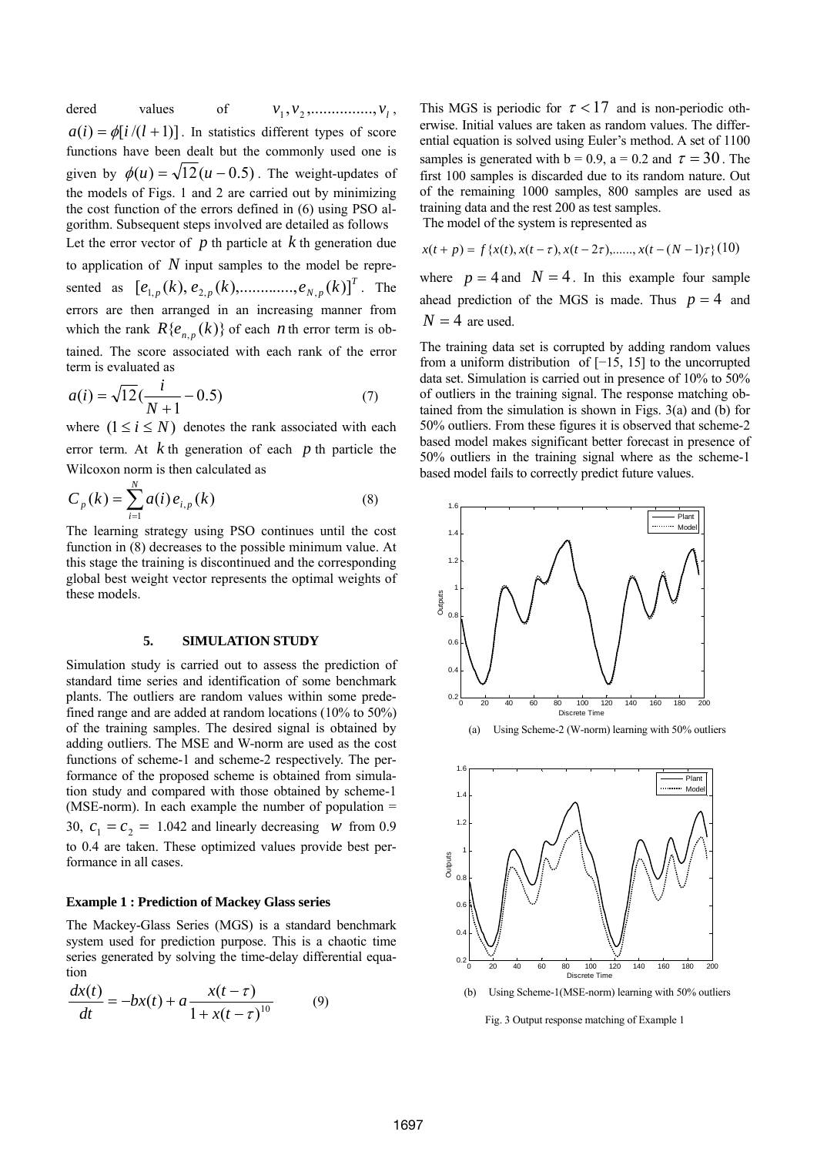dered values of  $v_1, v_2, \dots, v_l,$  $a(i) = \phi[i/(l+1)]$ . In statistics different types of score functions have been dealt but the commonly used one is given by  $\phi(u) = \sqrt{12(u - 0.5)}$ . The weight-updates of the models of Figs. 1 and 2 are carried out by minimizing the cost function of the errors defined in (6) using PSO algorithm. Subsequent steps involved are detailed as follows Let the error vector of  $p$  th particle at  $k$  th generation due to application of  $N$  input samples to the model be represented as  $[e_{1,p}(k), e_{2,p}(k), \dots, e_{N,p}(k)]^T$ . The errors are then arranged in an increasing manner from which the rank  $R\{e_{n,p}(k)\}\$  of each *n* th error term is obtained. The score associated with each rank of the error term is evaluated as

$$
a(i) = \sqrt{12} \left( \frac{i}{N+1} - 0.5 \right) \tag{7}
$$

where  $(1 \le i \le N)$  denotes the rank associated with each error term. At  $k$  th generation of each  $p$  th particle the Wilcoxon norm is then calculated as

$$
C_p(k) = \sum_{i=1}^{N} a(i) e_{i,p}(k)
$$
 (8)

The learning strategy using PSO continues until the cost function in (8) decreases to the possible minimum value. At this stage the training is discontinued and the corresponding global best weight vector represents the optimal weights of these models.

## **5. SIMULATION STUDY**

Simulation study is carried out to assess the prediction of standard time series and identification of some benchmark plants. The outliers are random values within some predefined range and are added at random locations (10% to 50%) of the training samples. The desired signal is obtained by adding outliers. The MSE and W-norm are used as the cost functions of scheme-1 and scheme-2 respectively. The performance of the proposed scheme is obtained from simulation study and compared with those obtained by scheme-1 (MSE-norm). In each example the number of population = 30,  $c_1 = c_2 = 1.042$  and linearly decreasing *w* from 0.9 to 0.4 are taken. These optimized values provide best performance in all cases.

#### **Example 1 : Prediction of Mackey Glass series**

The Mackey-Glass Series (MGS) is a standard benchmark system used for prediction purpose. This is a chaotic time series generated by solving the time-delay differential equation

$$
\frac{dx(t)}{dt} = -bx(t) + a\frac{x(t-\tau)}{1 + x(t-\tau)^{10}}\tag{9}
$$

This MGS is periodic for  $\tau < 17$  and is non-periodic otherwise. Initial values are taken as random values. The differential equation is solved using Euler's method. A set of 1100 samples is generated with  $b = 0.9$ ,  $a = 0.2$  and  $\tau = 30$ . The first 100 samples is discarded due to its random nature. Out of the remaining 1000 samples, 800 samples are used as training data and the rest 200 as test samples.

The model of the system is represented as

$$
x(t+p) = f\{x(t), x(t-\tau), x(t-2\tau), \dots, x(t-(N-1)\tau)\}(10)
$$

where  $p = 4$  and  $N = 4$ . In this example four sample ahead prediction of the MGS is made. Thus  $p = 4$  and  $N = 4$  are used.

The training data set is corrupted by adding random values from a uniform distribution of [−15, 15] to the uncorrupted data set. Simulation is carried out in presence of 10% to 50% of outliers in the training signal. The response matching obtained from the simulation is shown in Figs. 3(a) and (b) for 50% outliers. From these figures it is observed that scheme-2 based model makes significant better forecast in presence of 50% outliers in the training signal where as the scheme-1 based model fails to correctly predict future values.

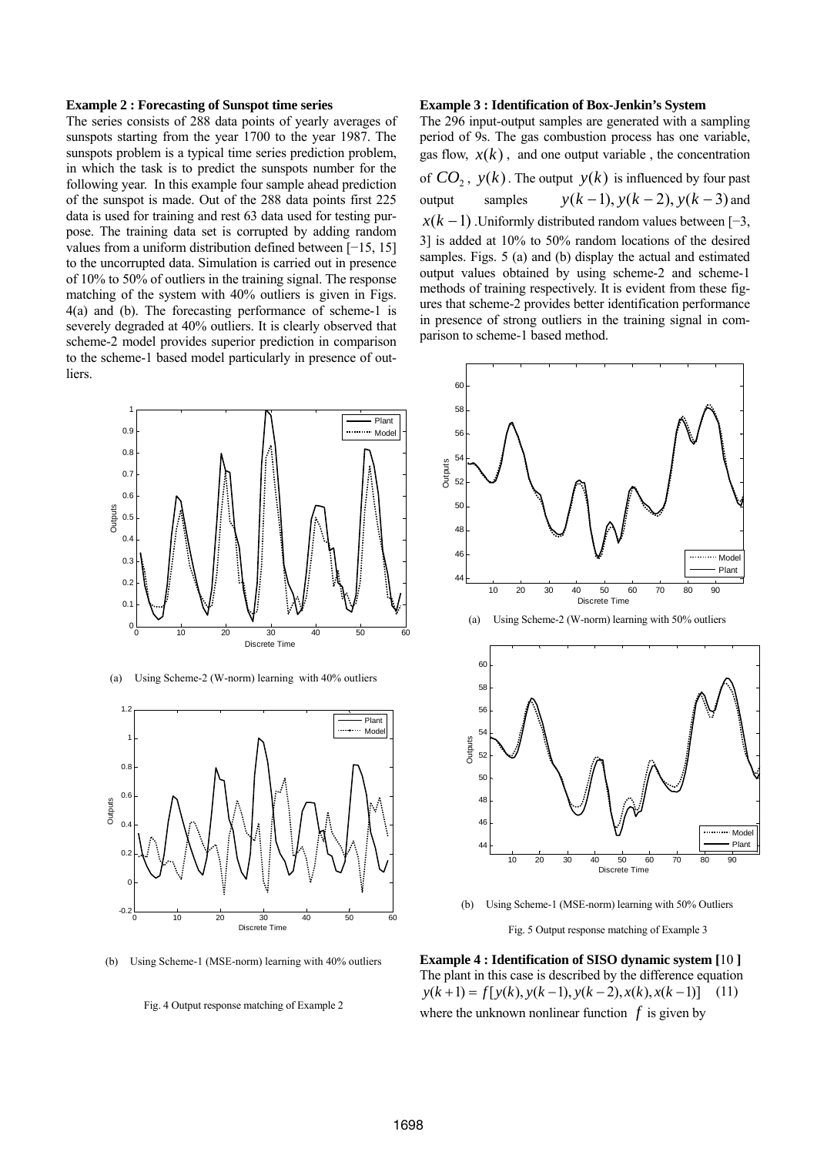#### **Example 2 : Forecasting of Sunspot time series**

The series consists of 288 data points of yearly averages of sunspots starting from the year 1700 to the year 1987. The sunspots problem is a typical time series prediction problem, in which the task is to predict the sunspots number for the following year. In this example four sample ahead prediction of the sunspot is made. Out of the 288 data points first 225 data is used for training and rest 63 data used for testing purpose. The training data set is corrupted by adding random values from a uniform distribution defined between [−15, 15] to the uncorrupted data. Simulation is carried out in presence of 10% to 50% of outliers in the training signal. The response matching of the system with 40% outliers is given in Figs. 4(a) and (b). The forecasting performance of scheme-1 is severely degraded at 40% outliers. It is clearly observed that scheme-2 model provides superior prediction in comparison to the scheme-1 based model particularly in presence of outliers.







(b) Using Scheme-1 (MSE-norm) learning with 40% outliers

Fig. 4 Output response matching of Example 2

#### **Example 3 : Identification of Box-Jenkin's System**

The 296 input-output samples are generated with a sampling period of 9s. The gas combustion process has one variable, gas flow,  $x(k)$ , and one output variable, the concentration of  $CO_2$ ,  $y(k)$ . The output  $y(k)$  is influenced by four past output samples  $y(k-1)$ ,  $y(k-2)$ ,  $y(k-3)$  and  $x(k-1)$ . Uniformly distributed random values between [−3, 3] is added at 10% to 50% random locations of the desired samples. Figs. 5 (a) and (b) display the actual and estimated output values obtained by using scheme-2 and scheme-1 methods of training respectively. It is evident from these figures that scheme-2 provides better identification performance in presence of strong outliers in the training signal in comparison to scheme-1 based method.



(a) Using Scheme-2 (W-norm) learning with 50% outliers



(b) Using Scheme-1 (MSE-norm) learning with 50% Outliers

Fig. 5 Output response matching of Example 3

**Example 4 : Identification of SISO dynamic system [**10 **]**  The plant in this case is described by the difference equation  $y(k+1) = f[y(k), y(k-1), y(k-2), x(k), x(k-1)]$  (11) where the unknown nonlinear function  $f$  is given by